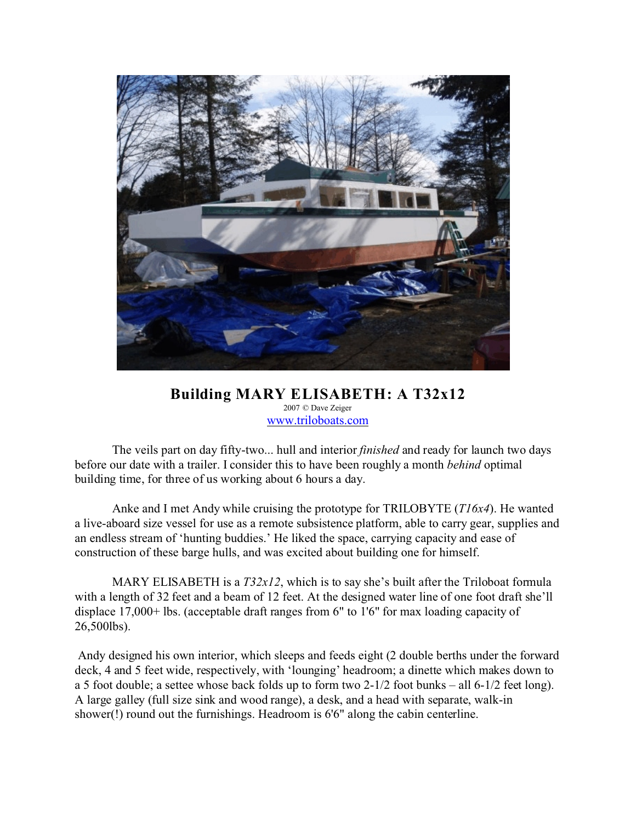

## **Building MARY ELISABETH: A T32x12** 2007 © Dave Zeiger [www.triloboats.com](http://www.triloboats.com)

The veils part on day fifty-two... hull and interior *finished* and ready for launch two days before our date with a trailer. I consider this to have been roughly a month *behind* optimal building time, for three of us working about 6 hours a day.

Anke and I met Andy while cruising the prototype for TRILOBYTE (*T16x4*). He wanted a live-aboard size vessel for use as a remote subsistence platform, able to carry gear, supplies and an endless stream of 'hunting buddies.' He liked the space, carrying capacity and ease of construction of these barge hulls, and was excited about building one for himself.

MARY ELISABETH is a *T32x12*, which is to say she's built after the Triloboat formula with a length of 32 feet and a beam of 12 feet. At the designed water line of one foot draft she'll displace 17,000+ lbs. (acceptable draft ranges from 6" to 1'6" for max loading capacity of 26,500lbs).

 Andy designed his own interior, which sleeps and feeds eight (2 double berths under the forward deck, 4 and 5 feet wide, respectively, with 'lounging' headroom; a dinette which makes down to a 5 foot double; a settee whose back folds up to form two 2-1/2 foot bunks – all 6-1/2 feet long). A large galley (full size sink and wood range), a desk, and a head with separate, walk-in shower(!) round out the furnishings. Headroom is 6'6" along the cabin centerline.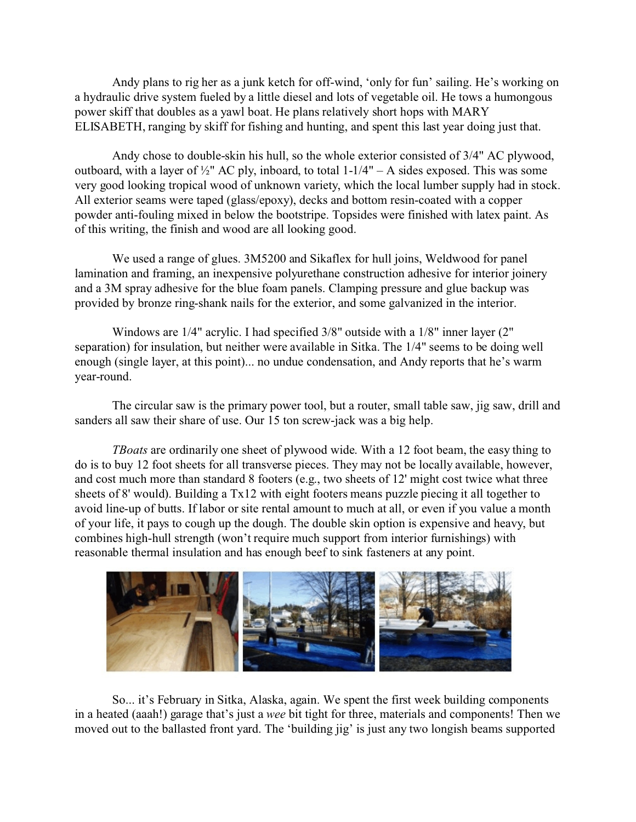Andy plans to rig her as a junk ketch for off-wind, 'only for fun' sailing. He's working on a hydraulic drive system fueled by a little diesel and lots of vegetable oil. He tows a humongous power skiff that doubles as a yawl boat. He plans relatively short hops with MARY ELISABETH, ranging by skiff for fishing and hunting, and spent this last year doing just that.

Andy chose to double-skin his hull, so the whole exterior consisted of 3/4" AC plywood, outboard, with a layer of  $\frac{1}{2}$ " AC ply, inboard, to total 1-1/4" – A sides exposed. This was some very good looking tropical wood of unknown variety, which the local lumber supply had in stock. All exterior seams were taped (glass/epoxy), decks and bottom resin-coated with a copper powder anti-fouling mixed in below the bootstripe. Topsides were finished with latex paint. As of this writing, the finish and wood are all looking good.

We used a range of glues. 3M5200 and Sikaflex for hull joins, Weldwood for panel lamination and framing, an inexpensive polyurethane construction adhesive for interior joinery and a 3M spray adhesive for the blue foam panels. Clamping pressure and glue backup was provided by bronze ring-shank nails for the exterior, and some galvanized in the interior.

Windows are 1/4" acrylic. I had specified 3/8" outside with a 1/8" inner layer (2" separation) for insulation, but neither were available in Sitka. The 1/4" seems to be doing well enough (single layer, at this point)... no undue condensation, and Andy reports that he's warm year-round.

The circular saw is the primary power tool, but a router, small table saw, jig saw, drill and sanders all saw their share of use. Our 15 ton screw-jack was a big help.

*TBoats* are ordinarily one sheet of plywood wide. With a 12 foot beam, the easy thing to do is to buy 12 foot sheets for all transverse pieces. They may not be locally available, however, and cost much more than standard 8 footers (e.g., two sheets of 12' might cost twice what three sheets of 8' would). Building a Tx12 with eight footers means puzzle piecing it all together to avoid line-up of butts. If labor or site rental amount to much at all, or even if you value a month of your life, it pays to cough up the dough. The double skin option is expensive and heavy, but combines high-hull strength (won't require much support from interior furnishings) with reasonable thermal insulation and has enough beef to sink fasteners at any point.



So... it's February in Sitka, Alaska, again. We spent the first week building components in a heated (aaah!) garage that's just a *wee* bit tight for three, materials and components! Then we moved out to the ballasted front yard. The 'building jig' is just any two longish beams supported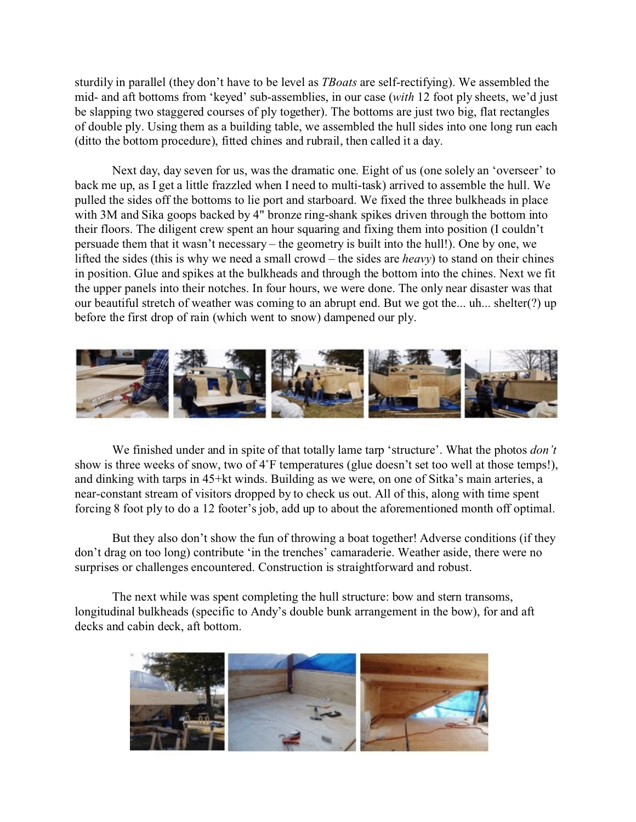sturdily in parallel (they don't have to be level as *TBoats* are self-rectifying). We assembled the mid- and aft bottoms from 'keyed' sub-assemblies, in our case (*with* 12 foot ply sheets, we'd just be slapping two staggered courses of ply together). The bottoms are just two big, flat rectangles of double ply. Using them as a building table, we assembled the hull sides into one long run each (ditto the bottom procedure), fitted chines and rubrail, then called it a day.

Next day, day seven for us, was the dramatic one. Eight of us (one solely an 'overseer' to back me up, as I get a little frazzled when I need to multi-task) arrived to assemble the hull. We pulled the sides off the bottoms to lie port and starboard. We fixed the three bulkheads in place with 3M and Sika goops backed by 4" bronze ring-shank spikes driven through the bottom into their floors. The diligent crew spent an hour squaring and fixing them into position (I couldn't persuade them that it wasn't necessary – the geometry is built into the hull!). One by one, we lifted the sides (this is why we need a small crowd – the sides are *heavy*) to stand on their chines in position. Glue and spikes at the bulkheads and through the bottom into the chines. Next we fit the upper panels into their notches. In four hours, we were done. The only near disaster was that our beautiful stretch of weather was coming to an abrupt end. But we got the... uh... shelter(?) up before the first drop of rain (which went to snow) dampened our ply.



We finished under and in spite of that totally lame tarp 'structure'. What the photos *don't* show is three weeks of snow, two of 4°F temperatures (glue doesn't set too well at those temps!), and dinking with tarps in 45+kt winds. Building as we were, on one of Sitka's main arteries, a near-constant stream of visitors dropped by to check us out. All of this, along with time spent forcing 8 foot ply to do a 12 footer's job, add up to about the aforementioned month off optimal.

But they also don't show the fun of throwing a boat together! Adverse conditions (if they don't drag on too long) contribute 'in the trenches' camaraderie. Weather aside, there were no surprises or challenges encountered. Construction is straightforward and robust.

The next while was spent completing the hull structure: bow and stern transoms, longitudinal bulkheads (specific to Andy's double bunk arrangement in the bow), for and aft decks and cabin deck, aft bottom.

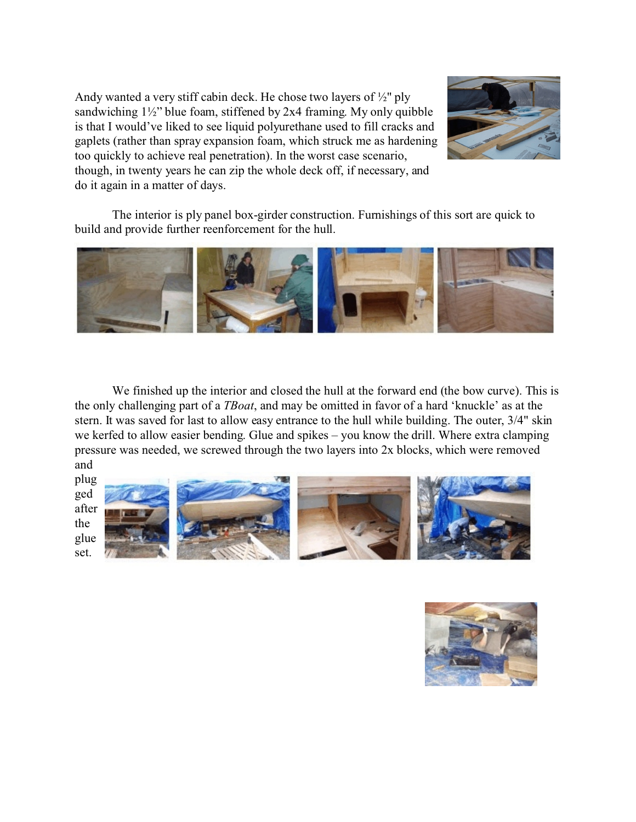Andy wanted a very stiff cabin deck. He chose two layers of ½" ply sandwiching 1½" blue foam, stiffened by 2x4 framing. My only quibble is that I would've liked to see liquid polyurethane used to fill cracks and gaplets (rather than spray expansion foam, which struck me as hardening too quickly to achieve real penetration). In the worst case scenario, though, in twenty years he can zip the whole deck off, if necessary, and do it again in a matter of days.



The interior is ply panel box-girder construction. Furnishings of this sort are quick to build and provide further reenforcement for the hull.



We finished up the interior and closed the hull at the forward end (the bow curve). This is the only challenging part of a *TBoat*, and may be omitted in favor of a hard 'knuckle' as at the stern. It was saved for last to allow easy entrance to the hull while building. The outer, 3/4" skin we kerfed to allow easier bending. Glue and spikes – you know the drill. Where extra clamping pressure was needed, we screwed through the two layers into 2x blocks, which were removed and



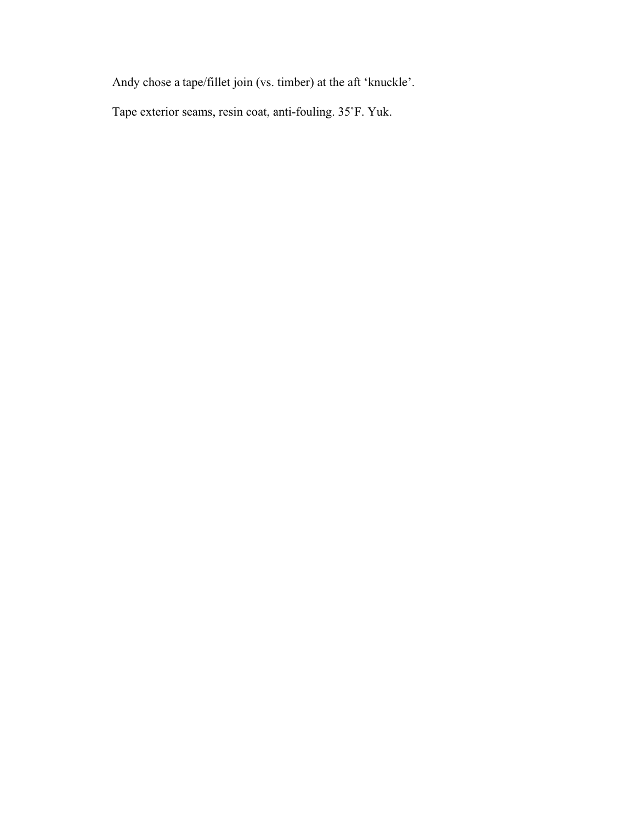Andy chose a tape/fillet join (vs. timber) at the aft 'knuckle'.

Tape exterior seams, resin coat, anti-fouling. 35°F. Yuk.